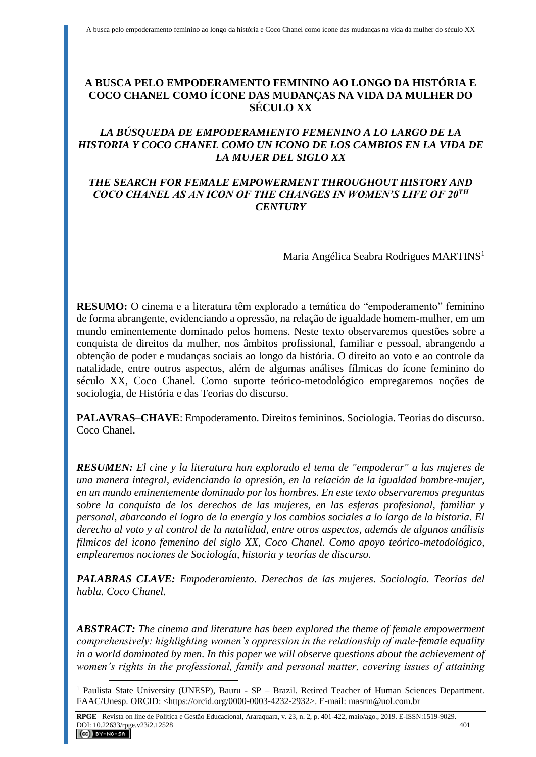# **A BUSCA PELO EMPODERAMENTO FEMININO AO LONGO DA HISTÓRIA E COCO CHANEL COMO ÍCONE DAS MUDANÇAS NA VIDA DA MULHER DO SÉCULO XX**

# *LA BÚSQUEDA DE EMPODERAMIENTO FEMENINO A LO LARGO DE LA HISTORIA Y COCO CHANEL COMO UN ICONO DE LOS CAMBIOS EN LA VIDA DE LA MUJER DEL SIGLO XX*

## *THE SEARCH FOR FEMALE EMPOWERMENT THROUGHOUT HISTORY AND COCO CHANEL AS AN ICON OF THE CHANGES IN WOMEN'S LIFE OF 20TH CENTURY*

Maria Angélica Seabra Rodrigues MARTINS<sup>1</sup>

**RESUMO:** O cinema e a literatura têm explorado a temática do "empoderamento" feminino de forma abrangente, evidenciando a opressão, na relação de igualdade homem-mulher, em um mundo eminentemente dominado pelos homens. Neste texto observaremos questões sobre a conquista de direitos da mulher, nos âmbitos profissional, familiar e pessoal, abrangendo a obtenção de poder e mudanças sociais ao longo da história. O direito ao voto e ao controle da natalidade, entre outros aspectos, além de algumas análises fílmicas do ícone feminino do século XX, Coco Chanel. Como suporte teórico-metodológico empregaremos noções de sociologia, de História e das Teorias do discurso.

**PALAVRAS–CHAVE**: Empoderamento. Direitos femininos. Sociologia. Teorias do discurso. Coco Chanel.

*RESUMEN: El cine y la literatura han explorado el tema de "empoderar" a las mujeres de una manera integral, evidenciando la opresión, en la relación de la igualdad hombre-mujer, en un mundo eminentemente dominado por los hombres. En este texto observaremos preguntas sobre la conquista de los derechos de las mujeres, en las esferas profesional, familiar y personal, abarcando el logro de la energía y los cambios sociales a lo largo de la historia. El derecho al voto y al control de la natalidad, entre otros aspectos, además de algunos análisis fílmicos del icono femenino del siglo XX, Coco Chanel. Como apoyo teórico-metodológico, emplearemos nociones de Sociología, historia y teorías de discurso.*

*PALABRAS CLAVE: Empoderamiento. Derechos de las mujeres. Sociología. Teorías del habla. Coco Chanel.*

*ABSTRACT: The cinema and literature has been explored the theme of female empowerment comprehensively: highlighting women's oppression in the relationship of male-female equality in a world dominated by men. In this paper we will observe questions about the achievement of women's rights in the professional, family and personal matter, covering issues of attaining* 

<sup>&</sup>lt;sup>1</sup> Paulista State University (UNESP), Bauru - SP – Brazil. Retired Teacher of Human Sciences Department. FAAC/Unesp. ORCID: <https://orcid.org/0000-0003-4232-2932>. E-mail: masrm@uol.com.br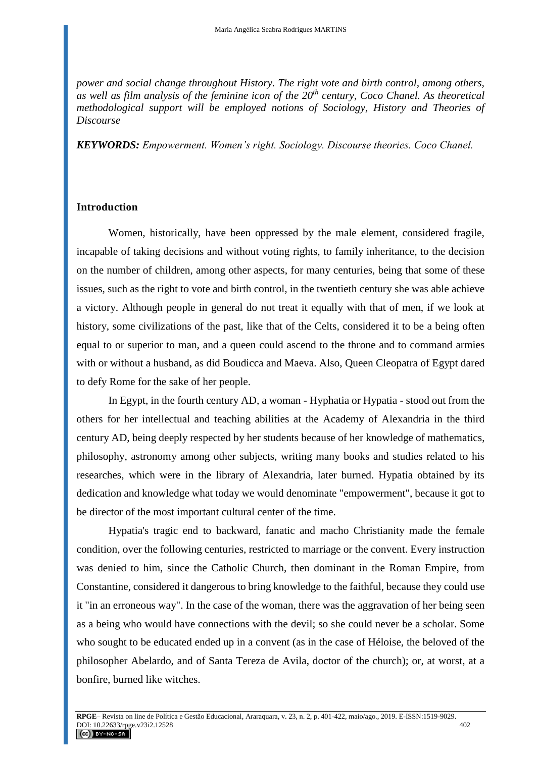*power and social change throughout History. The right vote and birth control, among others, as well as film analysis of the feminine icon of the 20th century, Coco Chanel. As theoretical methodological support will be employed notions of Sociology, History and Theories of Discourse* 

*KEYWORDS: Empowerment. Women's right. Sociology. Discourse theories. Coco Chanel.*

## **Introduction**

Women, historically, have been oppressed by the male element, considered fragile, incapable of taking decisions and without voting rights, to family inheritance, to the decision on the number of children, among other aspects, for many centuries, being that some of these issues, such as the right to vote and birth control, in the twentieth century she was able achieve a victory. Although people in general do not treat it equally with that of men, if we look at history, some civilizations of the past, like that of the Celts, considered it to be a being often equal to or superior to man, and a queen could ascend to the throne and to command armies with or without a husband, as did Boudicca and Maeva. Also, Queen Cleopatra of Egypt dared to defy Rome for the sake of her people.

In Egypt, in the fourth century AD, a woman - Hyphatia or Hypatia - stood out from the others for her intellectual and teaching abilities at the Academy of Alexandria in the third century AD, being deeply respected by her students because of her knowledge of mathematics, philosophy, astronomy among other subjects, writing many books and studies related to his researches, which were in the library of Alexandria, later burned. Hypatia obtained by its dedication and knowledge what today we would denominate "empowerment", because it got to be director of the most important cultural center of the time.

Hypatia's tragic end to backward, fanatic and macho Christianity made the female condition, over the following centuries, restricted to marriage or the convent. Every instruction was denied to him, since the Catholic Church, then dominant in the Roman Empire, from Constantine, considered it dangerous to bring knowledge to the faithful, because they could use it "in an erroneous way". In the case of the woman, there was the aggravation of her being seen as a being who would have connections with the devil; so she could never be a scholar. Some who sought to be educated ended up in a convent (as in the case of Héloise, the beloved of the philosopher Abelardo, and of Santa Tereza de Avila, doctor of the church); or, at worst, at a bonfire, burned like witches.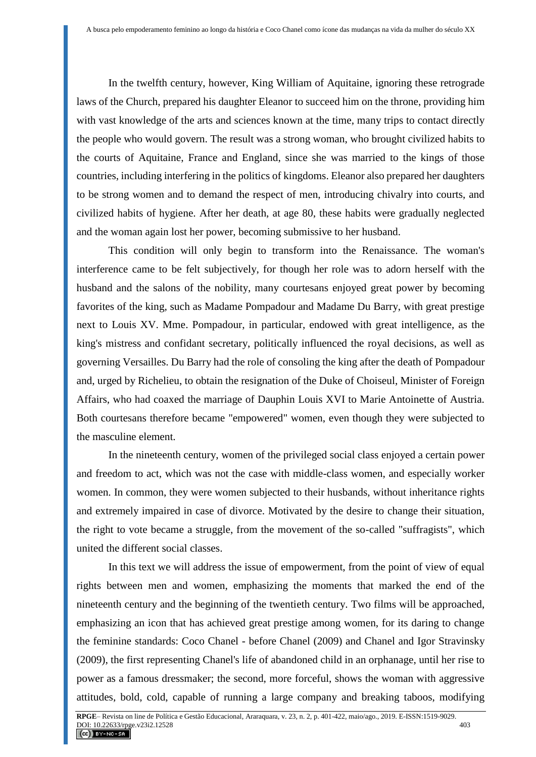In the twelfth century, however, King William of Aquitaine, ignoring these retrograde laws of the Church, prepared his daughter Eleanor to succeed him on the throne, providing him with vast knowledge of the arts and sciences known at the time, many trips to contact directly the people who would govern. The result was a strong woman, who brought civilized habits to the courts of Aquitaine, France and England, since she was married to the kings of those countries, including interfering in the politics of kingdoms. Eleanor also prepared her daughters to be strong women and to demand the respect of men, introducing chivalry into courts, and civilized habits of hygiene. After her death, at age 80, these habits were gradually neglected and the woman again lost her power, becoming submissive to her husband.

This condition will only begin to transform into the Renaissance. The woman's interference came to be felt subjectively, for though her role was to adorn herself with the husband and the salons of the nobility, many courtesans enjoyed great power by becoming favorites of the king, such as Madame Pompadour and Madame Du Barry, with great prestige next to Louis XV. Mme. Pompadour, in particular, endowed with great intelligence, as the king's mistress and confidant secretary, politically influenced the royal decisions, as well as governing Versailles. Du Barry had the role of consoling the king after the death of Pompadour and, urged by Richelieu, to obtain the resignation of the Duke of Choiseul, Minister of Foreign Affairs, who had coaxed the marriage of Dauphin Louis XVI to Marie Antoinette of Austria. Both courtesans therefore became "empowered" women, even though they were subjected to the masculine element.

In the nineteenth century, women of the privileged social class enjoyed a certain power and freedom to act, which was not the case with middle-class women, and especially worker women. In common, they were women subjected to their husbands, without inheritance rights and extremely impaired in case of divorce. Motivated by the desire to change their situation, the right to vote became a struggle, from the movement of the so-called "suffragists", which united the different social classes.

In this text we will address the issue of empowerment, from the point of view of equal rights between men and women, emphasizing the moments that marked the end of the nineteenth century and the beginning of the twentieth century. Two films will be approached, emphasizing an icon that has achieved great prestige among women, for its daring to change the feminine standards: Coco Chanel - before Chanel (2009) and Chanel and Igor Stravinsky (2009), the first representing Chanel's life of abandoned child in an orphanage, until her rise to power as a famous dressmaker; the second, more forceful, shows the woman with aggressive attitudes, bold, cold, capable of running a large company and breaking taboos, modifying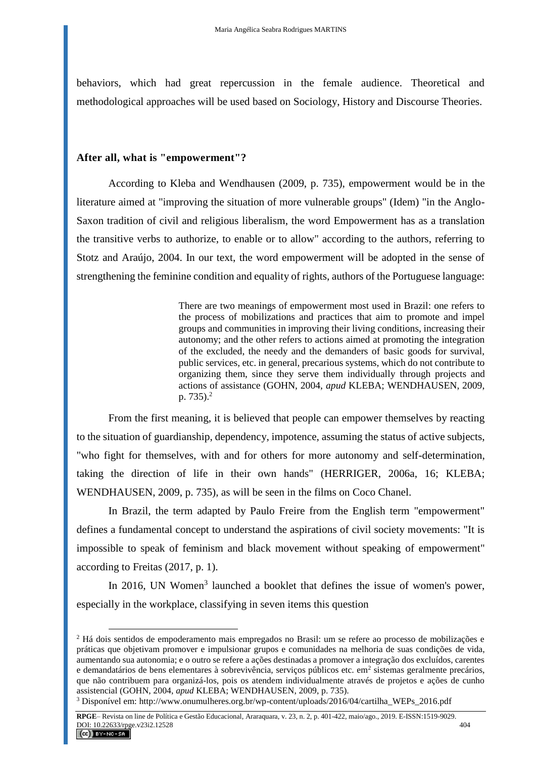behaviors, which had great repercussion in the female audience. Theoretical and methodological approaches will be used based on Sociology, History and Discourse Theories.

## **After all, what is "empowerment"?**

 $\overline{a}$ 

According to Kleba and Wendhausen (2009, p. 735), empowerment would be in the literature aimed at "improving the situation of more vulnerable groups" (Idem) "in the Anglo-Saxon tradition of civil and religious liberalism, the word Empowerment has as a translation the transitive verbs to authorize, to enable or to allow" according to the authors, referring to Stotz and Araújo, 2004. In our text, the word empowerment will be adopted in the sense of strengthening the feminine condition and equality of rights, authors of the Portuguese language:

> There are two meanings of empowerment most used in Brazil: one refers to the process of mobilizations and practices that aim to promote and impel groups and communities in improving their living conditions, increasing their autonomy; and the other refers to actions aimed at promoting the integration of the excluded, the needy and the demanders of basic goods for survival, public services, etc. in general, precarious systems, which do not contribute to organizing them, since they serve them individually through projects and actions of assistance (GOHN, 2004, *apud* KLEBA; WENDHAUSEN, 2009, p.  $735$ ).<sup>2</sup>

From the first meaning, it is believed that people can empower themselves by reacting to the situation of guardianship, dependency, impotence, assuming the status of active subjects, "who fight for themselves, with and for others for more autonomy and self-determination, taking the direction of life in their own hands" (HERRIGER, 2006a, 16; KLEBA; WENDHAUSEN, 2009, p. 735), as will be seen in the films on Coco Chanel.

In Brazil, the term adapted by Paulo Freire from the English term "empowerment" defines a fundamental concept to understand the aspirations of civil society movements: "It is impossible to speak of feminism and black movement without speaking of empowerment" according to Freitas (2017, p. 1).

In 2016, UN Women<sup>3</sup> launched a booklet that defines the issue of women's power, especially in the workplace, classifying in seven items this question

<sup>2</sup> Há dois sentidos de empoderamento mais empregados no Brasil: um se refere ao processo de mobilizações e práticas que objetivam promover e impulsionar grupos e comunidades na melhoria de suas condições de vida, aumentando sua autonomia; e o outro se refere a ações destinadas a promover a integração dos excluídos, carentes e demandatários de bens elementares à sobrevivência, serviços públicos etc. em<sup>2</sup> sistemas geralmente precários, que não contribuem para organizá-los, pois os atendem individualmente através de projetos e ações de cunho assistencial (GOHN, 2004, *apud* KLEBA; WENDHAUSEN, 2009, p. 735).

<sup>3</sup> Disponível em[: http://www.onumulheres.org.br/wp-content/uploads/2016/04/cartilha\\_WEPs\\_2016.pdf](http://www.onumulheres.org.br/wp-content/uploads/2016/04/cartilha_WEPs_2016.pdf)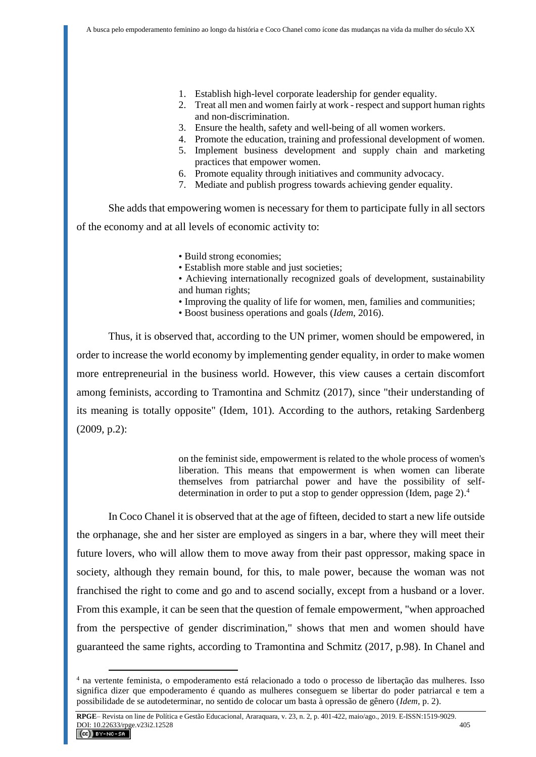- 1. Establish high-level corporate leadership for gender equality.
- 2. Treat all men and women fairly at work respect and support human rights and non-discrimination.
- 3. Ensure the health, safety and well-being of all women workers.
- 4. Promote the education, training and professional development of women.
- 5. Implement business development and supply chain and marketing practices that empower women.
- 6. Promote equality through initiatives and community advocacy.
- 7. Mediate and publish progress towards achieving gender equality.

She adds that empowering women is necessary for them to participate fully in all sectors of the economy and at all levels of economic activity to:

- Build strong economies;
- Establish more stable and just societies;
- Achieving internationally recognized goals of development, sustainability and human rights;
- Improving the quality of life for women, men, families and communities;
- Boost business operations and goals (*Idem*, 2016).

Thus, it is observed that, according to the UN primer, women should be empowered, in order to increase the world economy by implementing gender equality, in order to make women more entrepreneurial in the business world. However, this view causes a certain discomfort among feminists, according to Tramontina and Schmitz (2017), since "their understanding of its meaning is totally opposite" (Idem, 101). According to the authors, retaking Sardenberg (2009, p.2):

> on the feminist side, empowerment is related to the whole process of women's liberation. This means that empowerment is when women can liberate themselves from patriarchal power and have the possibility of selfdetermination in order to put a stop to gender oppression (Idem, page 2). 4

In Coco Chanel it is observed that at the age of fifteen, decided to start a new life outside the orphanage, she and her sister are employed as singers in a bar, where they will meet their future lovers, who will allow them to move away from their past oppressor, making space in society, although they remain bound, for this, to male power, because the woman was not franchised the right to come and go and to ascend socially, except from a husband or a lover. From this example, it can be seen that the question of female empowerment, "when approached from the perspective of gender discrimination," shows that men and women should have guaranteed the same rights, according to Tramontina and Schmitz (2017, p.98). In Chanel and

<sup>4</sup> na vertente feminista, o empoderamento está relacionado a todo o processo de libertação das mulheres. Isso significa dizer que empoderamento é quando as mulheres conseguem se libertar do poder patriarcal e tem a possibilidade de se autodeterminar, no sentido de colocar um basta à opressão de gênero (*Idem,* p. 2).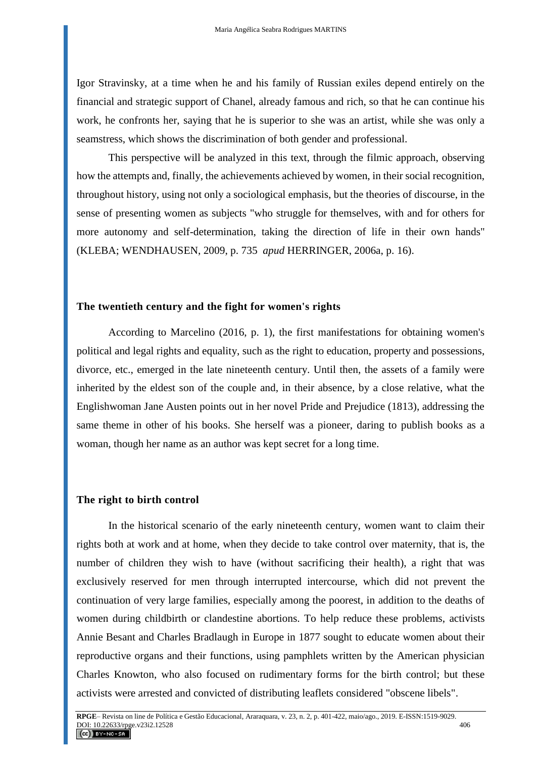Igor Stravinsky, at a time when he and his family of Russian exiles depend entirely on the financial and strategic support of Chanel, already famous and rich, so that he can continue his work, he confronts her, saying that he is superior to she was an artist, while she was only a seamstress, which shows the discrimination of both gender and professional.

This perspective will be analyzed in this text, through the filmic approach, observing how the attempts and, finally, the achievements achieved by women, in their social recognition, throughout history, using not only a sociological emphasis, but the theories of discourse, in the sense of presenting women as subjects "who struggle for themselves, with and for others for more autonomy and self-determination, taking the direction of life in their own hands" (KLEBA; WENDHAUSEN, 2009, p. 735 *apud* HERRINGER, 2006a, p. 16).

### **The twentieth century and the fight for women's rights**

According to Marcelino (2016, p. 1), the first manifestations for obtaining women's political and legal rights and equality, such as the right to education, property and possessions, divorce, etc., emerged in the late nineteenth century. Until then, the assets of a family were inherited by the eldest son of the couple and, in their absence, by a close relative, what the Englishwoman Jane Austen points out in her novel Pride and Prejudice (1813), addressing the same theme in other of his books. She herself was a pioneer, daring to publish books as a woman, though her name as an author was kept secret for a long time.

#### **The right to birth control**

In the historical scenario of the early nineteenth century, women want to claim their rights both at work and at home, when they decide to take control over maternity, that is, the number of children they wish to have (without sacrificing their health), a right that was exclusively reserved for men through interrupted intercourse, which did not prevent the continuation of very large families, especially among the poorest, in addition to the deaths of women during childbirth or clandestine abortions. To help reduce these problems, activists Annie Besant and Charles Bradlaugh in Europe in 1877 sought to educate women about their reproductive organs and their functions, using pamphlets written by the American physician Charles Knowton, who also focused on rudimentary forms for the birth control; but these activists were arrested and convicted of distributing leaflets considered "obscene libels".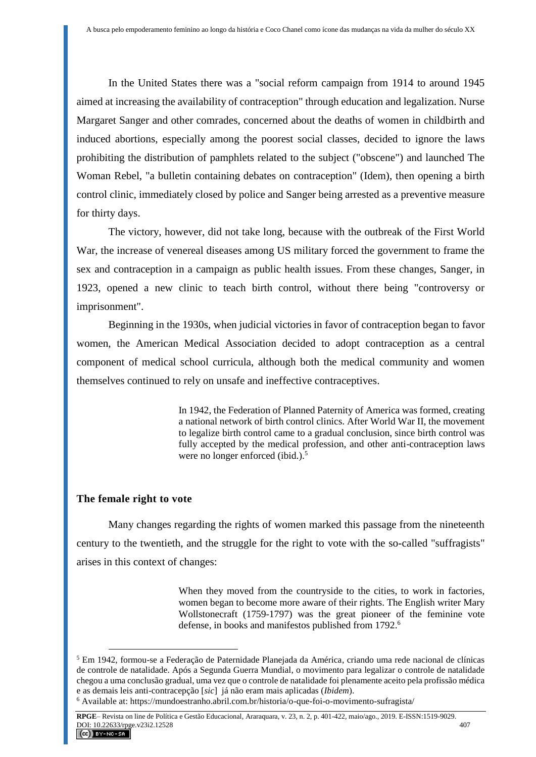In the United States there was a "social reform campaign from 1914 to around 1945 aimed at increasing the availability of contraception" through education and legalization. Nurse Margaret Sanger and other comrades, concerned about the deaths of women in childbirth and induced abortions, especially among the poorest social classes, decided to ignore the laws prohibiting the distribution of pamphlets related to the subject ("obscene") and launched The Woman Rebel, "a bulletin containing debates on contraception" (Idem), then opening a birth control clinic, immediately closed by police and Sanger being arrested as a preventive measure for thirty days.

The victory, however, did not take long, because with the outbreak of the First World War, the increase of venereal diseases among US military forced the government to frame the sex and contraception in a campaign as public health issues. From these changes, Sanger, in 1923, opened a new clinic to teach birth control, without there being "controversy or imprisonment".

Beginning in the 1930s, when judicial victories in favor of contraception began to favor women, the American Medical Association decided to adopt contraception as a central component of medical school curricula, although both the medical community and women themselves continued to rely on unsafe and ineffective contraceptives.

> In 1942, the Federation of Planned Paternity of America was formed, creating a national network of birth control clinics. After World War II, the movement to legalize birth control came to a gradual conclusion, since birth control was fully accepted by the medical profession, and other anti-contraception laws were no longer enforced (ibid.).<sup>5</sup>

# **The female right to vote**

 $\overline{a}$ 

Many changes regarding the rights of women marked this passage from the nineteenth century to the twentieth, and the struggle for the right to vote with the so-called "suffragists" arises in this context of changes:

> When they moved from the countryside to the cities, to work in factories, women began to become more aware of their rights. The English writer Mary Wollstonecraft (1759-1797) was the great pioneer of the feminine vote defense, in books and manifestos published from 1792. 6

<sup>5</sup> Em 1942, formou-se a [Federação de Paternidade Planejada da América,](https://pt.wikipedia.org/wiki/Federa%C3%A7%C3%A3o_de_Paternidade_Planejada_da_Am%C3%A9rica) criando uma rede nacional de clínicas de controle de natalidade. Após a [Segunda Guerra Mundial,](https://pt.wikipedia.org/wiki/Segunda_Guerra_Mundial) o movimento para legalizar o controle de natalidade chegou a uma conclusão gradual, uma vez que o controle de natalidade foi plenamente aceito pela profissão médica e as demais leis anti-contracepção [*sic*] já não eram mais aplicadas (*Ibidem*).

<sup>6</sup> Available at: https://mundoestranho.abril.com.br/historia/o-que-foi-o-movimento-sufragista/

**RPGE**– Revista on line de Política e Gestão Educacional, Araraquara, v. 23, n. 2, p. 401-422, maio/ago., 2019. E-ISSN:1519-9029. DOI: 10.22633/rpge.v23i2.12528 407  $(G)$  BY-NC-SA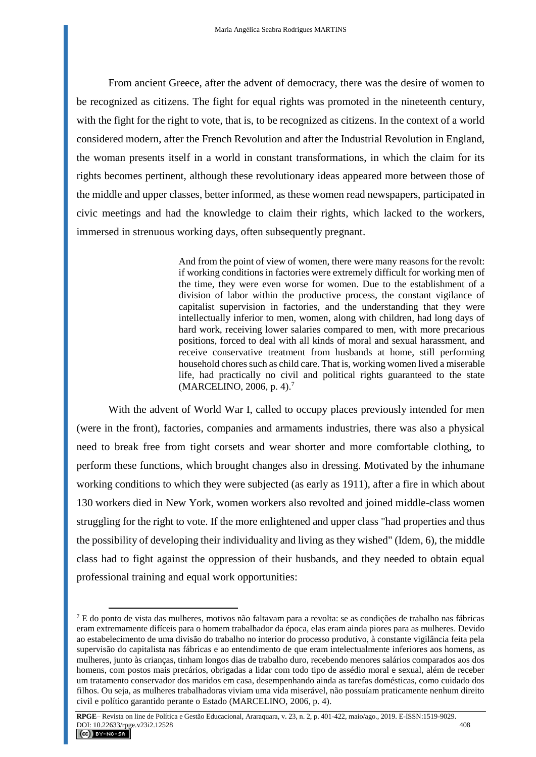From ancient Greece, after the advent of democracy, there was the desire of women to be recognized as citizens. The fight for equal rights was promoted in the nineteenth century, with the fight for the right to vote, that is, to be recognized as citizens. In the context of a world considered modern, after the French Revolution and after the Industrial Revolution in England, the woman presents itself in a world in constant transformations, in which the claim for its rights becomes pertinent, although these revolutionary ideas appeared more between those of the middle and upper classes, better informed, as these women read newspapers, participated in civic meetings and had the knowledge to claim their rights, which lacked to the workers, immersed in strenuous working days, often subsequently pregnant.

> And from the point of view of women, there were many reasons for the revolt: if working conditions in factories were extremely difficult for working men of the time, they were even worse for women. Due to the establishment of a division of labor within the productive process, the constant vigilance of capitalist supervision in factories, and the understanding that they were intellectually inferior to men, women, along with children, had long days of hard work, receiving lower salaries compared to men, with more precarious positions, forced to deal with all kinds of moral and sexual harassment, and receive conservative treatment from husbands at home, still performing household chores such as child care. That is, working women lived a miserable life, had practically no civil and political rights guaranteed to the state (MARCELINO, 2006, p. 4).<sup>7</sup>

With the advent of World War I, called to occupy places previously intended for men (were in the front), factories, companies and armaments industries, there was also a physical need to break free from tight corsets and wear shorter and more comfortable clothing, to perform these functions, which brought changes also in dressing. Motivated by the inhumane working conditions to which they were subjected (as early as 1911), after a fire in which about 130 workers died in New York, women workers also revolted and joined middle-class women struggling for the right to vote. If the more enlightened and upper class "had properties and thus the possibility of developing their individuality and living as they wished" (Idem, 6), the middle class had to fight against the oppression of their husbands, and they needed to obtain equal professional training and equal work opportunities:

 $^7$  E do ponto de vista das mulheres, motivos não faltavam para a revolta: se as condições de trabalho nas fábricas eram extremamente difíceis para o homem trabalhador da época, elas eram ainda piores para as mulheres. Devido ao estabelecimento de uma divisão do trabalho no interior do processo produtivo, à constante vigilância feita pela supervisão do capitalista nas fábricas e ao entendimento de que eram intelectualmente inferiores aos homens, as mulheres, junto às crianças, tinham longos dias de trabalho duro, recebendo menores salários comparados aos dos homens, com postos mais precários, obrigadas a lidar com todo tipo de assédio moral e sexual, além de receber um tratamento conservador dos maridos em casa, desempenhando ainda as tarefas domésticas, como cuidado dos filhos. Ou seja, as mulheres trabalhadoras viviam uma vida miserável, não possuíam praticamente nenhum direito civil e político garantido perante o Estado (MARCELINO, 2006, p. 4).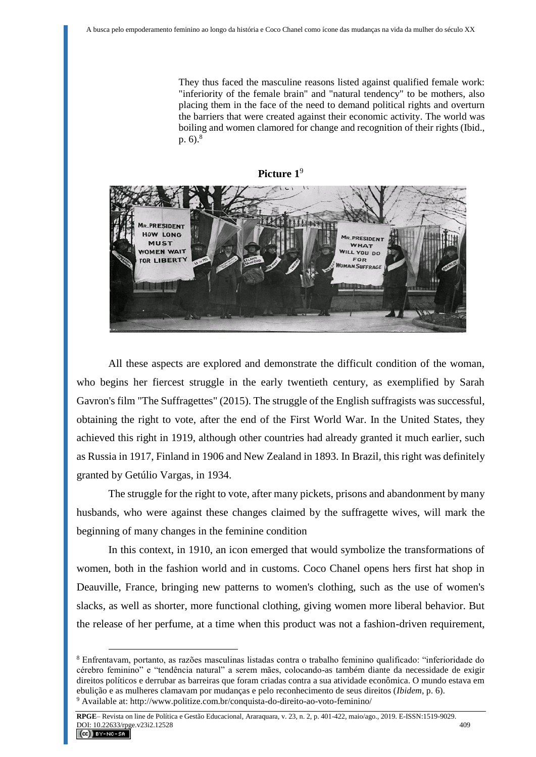They thus faced the masculine reasons listed against qualified female work: "inferiority of the female brain" and "natural tendency" to be mothers, also placing them in the face of the need to demand political rights and overturn the barriers that were created against their economic activity. The world was boiling and women clamored for change and recognition of their rights (Ibid., p.  $6)^{8}$ 



All these aspects are explored and demonstrate the difficult condition of the woman, who begins her fiercest struggle in the early twentieth century, as exemplified by Sarah Gavron's film "The Suffragettes" (2015). The struggle of the English suffragists was successful, obtaining the right to vote, after the end of the First World War. In the United States, they achieved this right in 1919, although other countries had already granted it much earlier, such as Russia in 1917, Finland in 1906 and New Zealand in 1893. In Brazil, this right was definitely granted by Getúlio Vargas, in 1934.

The struggle for the right to vote, after many pickets, prisons and abandonment by many husbands, who were against these changes claimed by the suffragette wives, will mark the beginning of many changes in the feminine condition

In this context, in 1910, an icon emerged that would symbolize the transformations of women, both in the fashion world and in customs. Coco Chanel opens hers first hat shop in Deauville, France, bringing new patterns to women's clothing, such as the use of women's slacks, as well as shorter, more functional clothing, giving women more liberal behavior. But the release of her perfume, at a time when this product was not a fashion-driven requirement,

<sup>8</sup> Enfrentavam, portanto, as razões masculinas listadas contra o trabalho feminino qualificado: "inferioridade do cérebro feminino" e "tendência natural" a serem mães, colocando-as também diante da necessidade de exigir direitos políticos e derrubar as barreiras que foram criadas contra a sua atividade econômica. O mundo estava em ebulição e as mulheres clamavam por mudanças e pelo reconhecimento de seus direitos (*Ibidem*, p. 6). <sup>9</sup> Available at: http://www.politize.com.br/conquista-do-direito-ao-voto-feminino/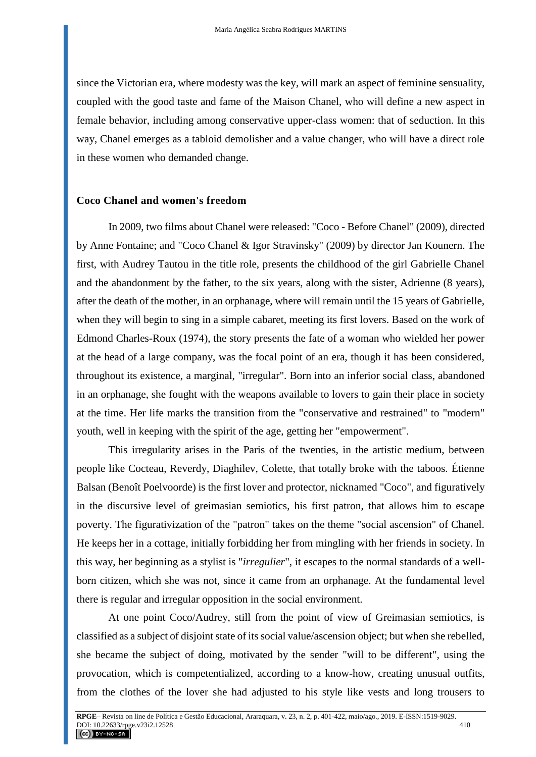since the Victorian era, where modesty was the key, will mark an aspect of feminine sensuality, coupled with the good taste and fame of the Maison Chanel, who will define a new aspect in female behavior, including among conservative upper-class women: that of seduction. In this way, Chanel emerges as a tabloid demolisher and a value changer, who will have a direct role in these women who demanded change.

### **Coco Chanel and women's freedom**

 In 2009, two films about Chanel were released: "Coco - Before Chanel" (2009), directed by Anne Fontaine; and "Coco Chanel & Igor Stravinsky" (2009) by director Jan Kounern. The first, with Audrey Tautou in the title role, presents the childhood of the girl Gabrielle Chanel and the abandonment by the father, to the six years, along with the sister, Adrienne (8 years), after the death of the mother, in an orphanage, where will remain until the 15 years of Gabrielle, when they will begin to sing in a simple cabaret, meeting its first lovers. Based on the work of Edmond Charles-Roux (1974), the story presents the fate of a woman who wielded her power at the head of a large company, was the focal point of an era, though it has been considered, throughout its existence, a marginal, "irregular". Born into an inferior social class, abandoned in an orphanage, she fought with the weapons available to lovers to gain their place in society at the time. Her life marks the transition from the "conservative and restrained" to "modern" youth, well in keeping with the spirit of the age, getting her "empowerment".

This irregularity arises in the Paris of the twenties, in the artistic medium, between people like Cocteau, Reverdy, Diaghilev, Colette, that totally broke with the taboos. Étienne Balsan (Benoît Poelvoorde) is the first lover and protector, nicknamed "Coco", and figuratively in the discursive level of greimasian semiotics, his first patron, that allows him to escape poverty. The figurativization of the "patron" takes on the theme "social ascension" of Chanel. He keeps her in a cottage, initially forbidding her from mingling with her friends in society. In this way, her beginning as a stylist is "*irregulier*", it escapes to the normal standards of a wellborn citizen, which she was not, since it came from an orphanage. At the fundamental level there is regular and irregular opposition in the social environment.

At one point Coco/Audrey, still from the point of view of Greimasian semiotics, is classified as a subject of disjoint state of its social value/ascension object; but when she rebelled, she became the subject of doing, motivated by the sender "will to be different", using the provocation, which is competentialized, according to a know-how, creating unusual outfits, from the clothes of the lover she had adjusted to his style like vests and long trousers to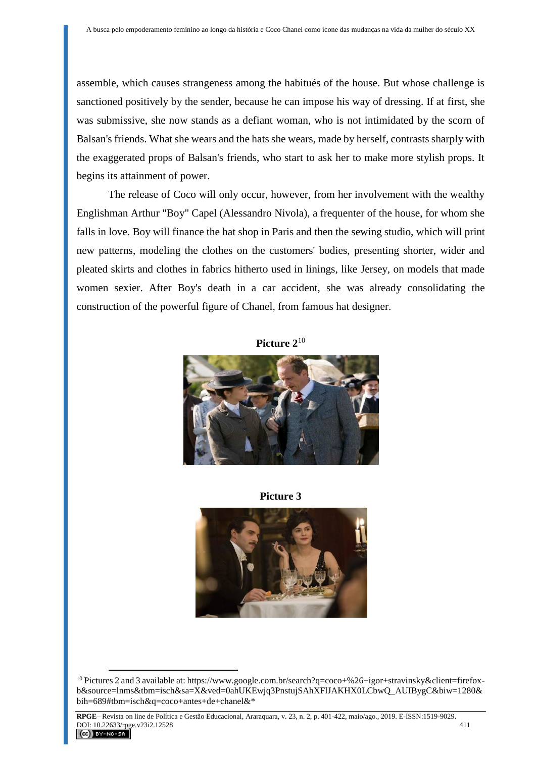assemble, which causes strangeness among the habitués of the house. But whose challenge is sanctioned positively by the sender, because he can impose his way of dressing. If at first, she was submissive, she now stands as a defiant woman, who is not intimidated by the scorn of Balsan's friends. What she wears and the hats she wears, made by herself, contrasts sharply with the exaggerated props of Balsan's friends, who start to ask her to make more stylish props. It begins its attainment of power.

The release of Coco will only occur, however, from her involvement with the wealthy Englishman Arthur "Boy" Capel (Alessandro Nivola), a frequenter of the house, for whom she falls in love. Boy will finance the hat shop in Paris and then the sewing studio, which will print new patterns, modeling the clothes on the customers' bodies, presenting shorter, wider and pleated skirts and clothes in fabrics hitherto used in linings, like Jersey, on models that made women sexier. After Boy's death in a car accident, she was already consolidating the construction of the powerful figure of Chanel, from famous hat designer.





**Picture 3**



<sup>10</sup> Pictures 2 and 3 available at: [https://www.google.com.br/search?q=coco+%26+igor+stravinsky&client=firefox](https://www.google.com.br/search?q=coco+%26+igor+stravinsky&client=firefox-b&source=lnms&tbm=isch&sa=X&ved=0ahUKEwjq3PnstujSAhXFlJAKHX0LCbwQ_AUIBygC&biw=1280&bih=689#tbm=isch&q=coco+antes+de+chanel&*)[b&source=lnms&tbm=isch&sa=X&ved=0ahUKEwjq3PnstujSAhXFlJAKHX0LCbwQ\\_AUIBygC&biw=1280&](https://www.google.com.br/search?q=coco+%26+igor+stravinsky&client=firefox-b&source=lnms&tbm=isch&sa=X&ved=0ahUKEwjq3PnstujSAhXFlJAKHX0LCbwQ_AUIBygC&biw=1280&bih=689#tbm=isch&q=coco+antes+de+chanel&*) [bih=689#tbm=isch&q=coco+antes+de+chanel&\\*](https://www.google.com.br/search?q=coco+%26+igor+stravinsky&client=firefox-b&source=lnms&tbm=isch&sa=X&ved=0ahUKEwjq3PnstujSAhXFlJAKHX0LCbwQ_AUIBygC&biw=1280&bih=689#tbm=isch&q=coco+antes+de+chanel&*)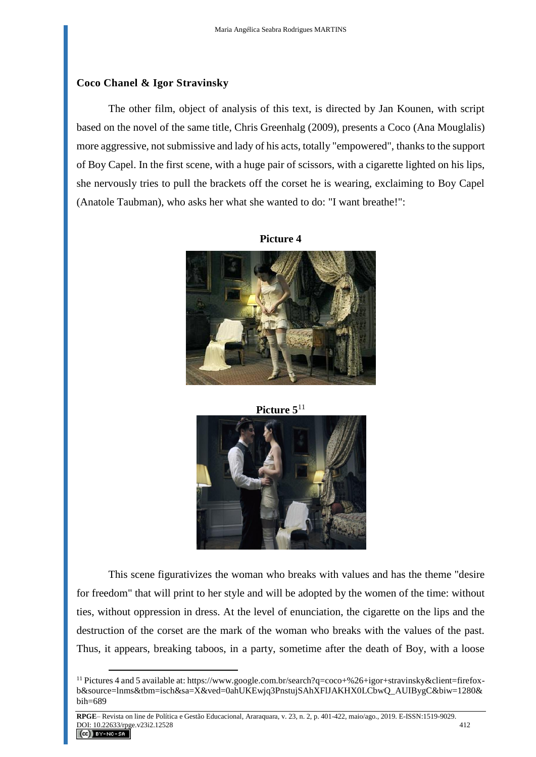## **Coco Chanel & Igor Stravinsky**

 $\overline{a}$ 

The other film, object of analysis of this text, is directed by Jan Kounen, with script based on the novel of the same title, Chris Greenhalg (2009), presents a Coco (Ana Mouglalis) more aggressive, not submissive and lady of his acts, totally "empowered", thanks to the support of Boy Capel. In the first scene, with a huge pair of scissors, with a cigarette lighted on his lips, she nervously tries to pull the brackets off the corset he is wearing, exclaiming to Boy Capel (Anatole Taubman), who asks her what she wanted to do: "I want breathe!":

**Picture 4**







This scene figurativizes the woman who breaks with values and has the theme "desire for freedom" that will print to her style and will be adopted by the women of the time: without ties, without oppression in dress. At the level of enunciation, the cigarette on the lips and the destruction of the corset are the mark of the woman who breaks with the values of the past. Thus, it appears, breaking taboos, in a party, sometime after the death of Boy, with a loose

<sup>11</sup> Pictures 4 and 5 available at: [https://www.google.com.br/search?q=coco+%26+igor+stravinsky&client=firefox](https://www.google.com.br/search?q=coco+%26+igor+stravinsky&client=firefox-b&source=lnms&tbm=isch&sa=X&ved=0ahUKEwjq3PnstujSAhXFlJAKHX0LCbwQ_AUIBygC&biw=1280&bih=689)[b&source=lnms&tbm=isch&sa=X&ved=0ahUKEwjq3PnstujSAhXFlJAKHX0LCbwQ\\_AUIBygC&biw=1280&](https://www.google.com.br/search?q=coco+%26+igor+stravinsky&client=firefox-b&source=lnms&tbm=isch&sa=X&ved=0ahUKEwjq3PnstujSAhXFlJAKHX0LCbwQ_AUIBygC&biw=1280&bih=689) [bih=689](https://www.google.com.br/search?q=coco+%26+igor+stravinsky&client=firefox-b&source=lnms&tbm=isch&sa=X&ved=0ahUKEwjq3PnstujSAhXFlJAKHX0LCbwQ_AUIBygC&biw=1280&bih=689)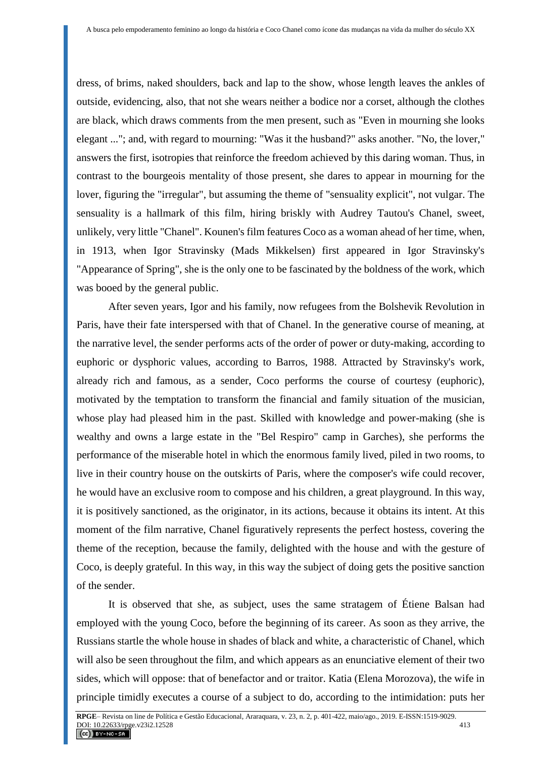dress, of brims, naked shoulders, back and lap to the show, whose length leaves the ankles of outside, evidencing, also, that not she wears neither a bodice nor a corset, although the clothes are black, which draws comments from the men present, such as "Even in mourning she looks elegant ..."; and, with regard to mourning: "Was it the husband?" asks another. "No, the lover," answers the first, isotropies that reinforce the freedom achieved by this daring woman. Thus, in contrast to the bourgeois mentality of those present, she dares to appear in mourning for the lover, figuring the "irregular", but assuming the theme of "sensuality explicit", not vulgar. The sensuality is a hallmark of this film, hiring briskly with Audrey Tautou's Chanel, sweet, unlikely, very little "Chanel". Kounen's film features Coco as a woman ahead of her time, when, in 1913, when Igor Stravinsky (Mads Mikkelsen) first appeared in Igor Stravinsky's "Appearance of Spring", she is the only one to be fascinated by the boldness of the work, which was booed by the general public.

After seven years, Igor and his family, now refugees from the Bolshevik Revolution in Paris, have their fate interspersed with that of Chanel. In the generative course of meaning, at the narrative level, the sender performs acts of the order of power or duty-making, according to euphoric or dysphoric values, according to Barros, 1988. Attracted by Stravinsky's work, already rich and famous, as a sender, Coco performs the course of courtesy (euphoric), motivated by the temptation to transform the financial and family situation of the musician, whose play had pleased him in the past. Skilled with knowledge and power-making (she is wealthy and owns a large estate in the "Bel Respiro" camp in Garches), she performs the performance of the miserable hotel in which the enormous family lived, piled in two rooms, to live in their country house on the outskirts of Paris, where the composer's wife could recover, he would have an exclusive room to compose and his children, a great playground. In this way, it is positively sanctioned, as the originator, in its actions, because it obtains its intent. At this moment of the film narrative, Chanel figuratively represents the perfect hostess, covering the theme of the reception, because the family, delighted with the house and with the gesture of Coco, is deeply grateful. In this way, in this way the subject of doing gets the positive sanction of the sender.

It is observed that she, as subject, uses the same stratagem of Étiene Balsan had employed with the young Coco, before the beginning of its career. As soon as they arrive, the Russians startle the whole house in shades of black and white, a characteristic of Chanel, which will also be seen throughout the film, and which appears as an enunciative element of their two sides, which will oppose: that of benefactor and or traitor. Katia (Elena Morozova), the wife in principle timidly executes a course of a subject to do, according to the intimidation: puts her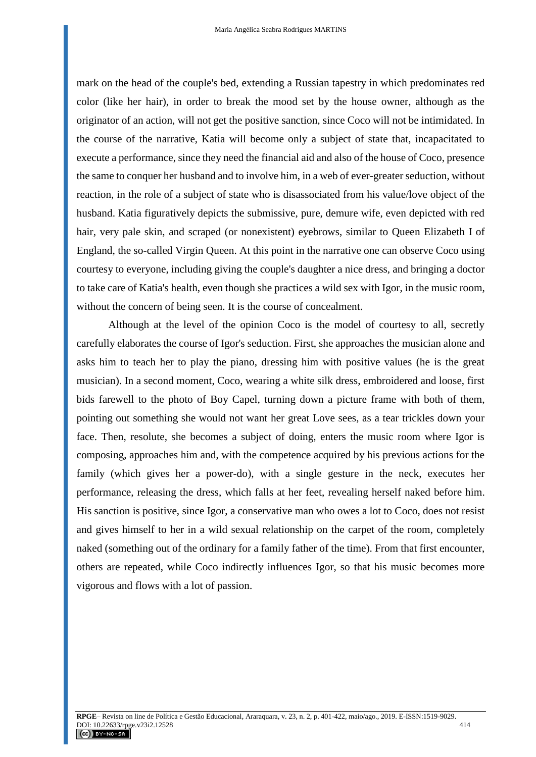mark on the head of the couple's bed, extending a Russian tapestry in which predominates red color (like her hair), in order to break the mood set by the house owner, although as the originator of an action, will not get the positive sanction, since Coco will not be intimidated. In the course of the narrative, Katia will become only a subject of state that, incapacitated to execute a performance, since they need the financial aid and also of the house of Coco, presence the same to conquer her husband and to involve him, in a web of ever-greater seduction, without reaction, in the role of a subject of state who is disassociated from his value/love object of the husband. Katia figuratively depicts the submissive, pure, demure wife, even depicted with red hair, very pale skin, and scraped (or nonexistent) eyebrows, similar to Queen Elizabeth I of England, the so-called Virgin Queen. At this point in the narrative one can observe Coco using courtesy to everyone, including giving the couple's daughter a nice dress, and bringing a doctor to take care of Katia's health, even though she practices a wild sex with Igor, in the music room, without the concern of being seen. It is the course of concealment.

Although at the level of the opinion Coco is the model of courtesy to all, secretly carefully elaborates the course of Igor's seduction. First, she approaches the musician alone and asks him to teach her to play the piano, dressing him with positive values (he is the great musician). In a second moment, Coco, wearing a white silk dress, embroidered and loose, first bids farewell to the photo of Boy Capel, turning down a picture frame with both of them, pointing out something she would not want her great Love sees, as a tear trickles down your face. Then, resolute, she becomes a subject of doing, enters the music room where Igor is composing, approaches him and, with the competence acquired by his previous actions for the family (which gives her a power-do), with a single gesture in the neck, executes her performance, releasing the dress, which falls at her feet, revealing herself naked before him. His sanction is positive, since Igor, a conservative man who owes a lot to Coco, does not resist and gives himself to her in a wild sexual relationship on the carpet of the room, completely naked (something out of the ordinary for a family father of the time). From that first encounter, others are repeated, while Coco indirectly influences Igor, so that his music becomes more vigorous and flows with a lot of passion.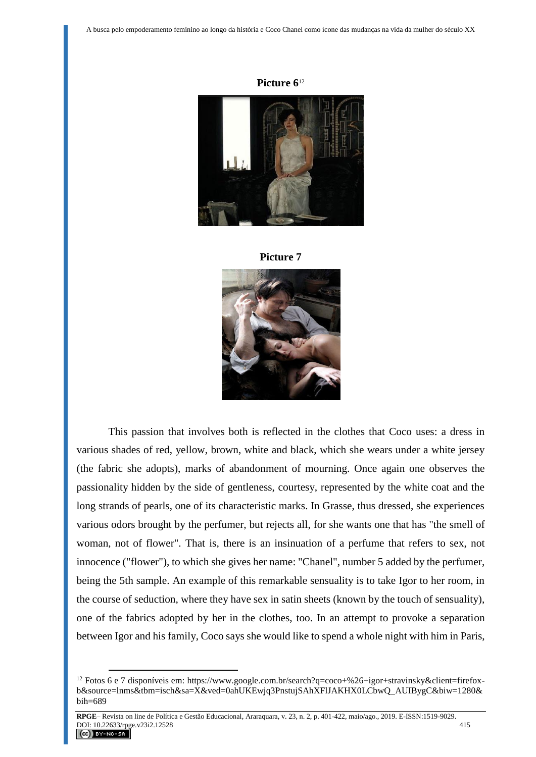







This passion that involves both is reflected in the clothes that Coco uses: a dress in various shades of red, yellow, brown, white and black, which she wears under a white jersey (the fabric she adopts), marks of abandonment of mourning. Once again one observes the passionality hidden by the side of gentleness, courtesy, represented by the white coat and the long strands of pearls, one of its characteristic marks. In Grasse, thus dressed, she experiences various odors brought by the perfumer, but rejects all, for she wants one that has "the smell of woman, not of flower". That is, there is an insinuation of a perfume that refers to sex, not innocence ("flower"), to which she gives her name: "Chanel", number 5 added by the perfumer, being the 5th sample. An example of this remarkable sensuality is to take Igor to her room, in the course of seduction, where they have sex in satin sheets (known by the touch of sensuality), one of the fabrics adopted by her in the clothes, too. In an attempt to provoke a separation between Igor and his family, Coco says she would like to spend a whole night with him in Paris,

<sup>&</sup>lt;sup>12</sup> Fotos 6 e 7 disponíveis em: [https://www.google.com.br/search?q=coco+%26+igor+stravinsky&client=firefox](https://www.google.com.br/search?q=coco+%26+igor+stravinsky&client=firefox-b&source=lnms&tbm=isch&sa=X&ved=0ahUKEwjq3PnstujSAhXFlJAKHX0LCbwQ_AUIBygC&biw=1280&bih=689)[b&source=lnms&tbm=isch&sa=X&ved=0ahUKEwjq3PnstujSAhXFlJAKHX0LCbwQ\\_AUIBygC&biw=1280&](https://www.google.com.br/search?q=coco+%26+igor+stravinsky&client=firefox-b&source=lnms&tbm=isch&sa=X&ved=0ahUKEwjq3PnstujSAhXFlJAKHX0LCbwQ_AUIBygC&biw=1280&bih=689) [bih=689](https://www.google.com.br/search?q=coco+%26+igor+stravinsky&client=firefox-b&source=lnms&tbm=isch&sa=X&ved=0ahUKEwjq3PnstujSAhXFlJAKHX0LCbwQ_AUIBygC&biw=1280&bih=689)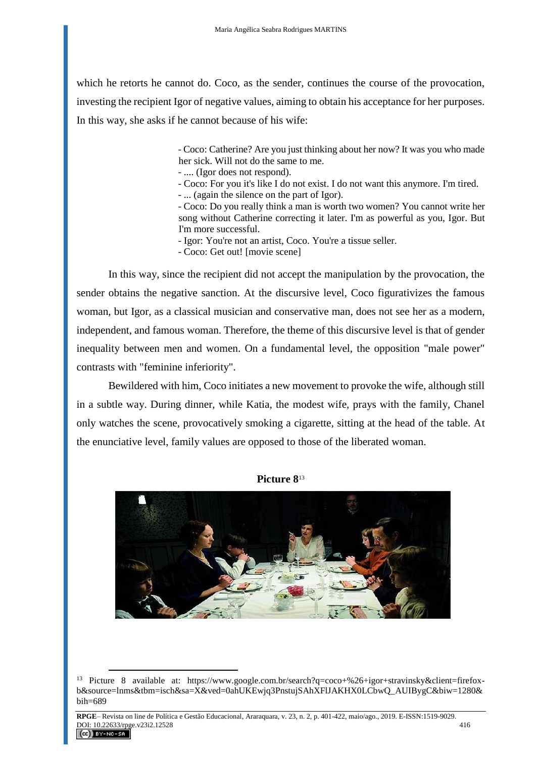which he retorts he cannot do. Coco, as the sender, continues the course of the provocation, investing the recipient Igor of negative values, aiming to obtain his acceptance for her purposes. In this way, she asks if he cannot because of his wife:

> - Coco: Catherine? Are you just thinking about her now? It was you who made her sick. Will not do the same to me.

- .... (Igor does not respond).

- Coco: For you it's like I do not exist. I do not want this anymore. I'm tired.

- ... (again the silence on the part of Igor).

- Coco: Do you really think a man is worth two women? You cannot write her song without Catherine correcting it later. I'm as powerful as you, Igor. But I'm more successful.

- Igor: You're not an artist, Coco. You're a tissue seller.

- Coco: Get out! [movie scene]

In this way, since the recipient did not accept the manipulation by the provocation, the sender obtains the negative sanction. At the discursive level, Coco figurativizes the famous woman, but Igor, as a classical musician and conservative man, does not see her as a modern, independent, and famous woman. Therefore, the theme of this discursive level is that of gender inequality between men and women. On a fundamental level, the opposition "male power" contrasts with "feminine inferiority".

Bewildered with him, Coco initiates a new movement to provoke the wife, although still in a subtle way. During dinner, while Katia, the modest wife, prays with the family, Chanel only watches the scene, provocatively smoking a cigarette, sitting at the head of the table. At the enunciative level, family values are opposed to those of the liberated woman.





<sup>13</sup> Picture 8 available at: [https://www.google.com.br/search?q=coco+%26+igor+stravinsky&client=firefox](https://www.google.com.br/search?q=coco+%26+igor+stravinsky&client=firefox-b&source=lnms&tbm=isch&sa=X&ved=0ahUKEwjq3PnstujSAhXFlJAKHX0LCbwQ_AUIBygC&biw=1280&bih=689)[b&source=lnms&tbm=isch&sa=X&ved=0ahUKEwjq3PnstujSAhXFlJAKHX0LCbwQ\\_AUIBygC&biw=1280&](https://www.google.com.br/search?q=coco+%26+igor+stravinsky&client=firefox-b&source=lnms&tbm=isch&sa=X&ved=0ahUKEwjq3PnstujSAhXFlJAKHX0LCbwQ_AUIBygC&biw=1280&bih=689) [bih=689](https://www.google.com.br/search?q=coco+%26+igor+stravinsky&client=firefox-b&source=lnms&tbm=isch&sa=X&ved=0ahUKEwjq3PnstujSAhXFlJAKHX0LCbwQ_AUIBygC&biw=1280&bih=689)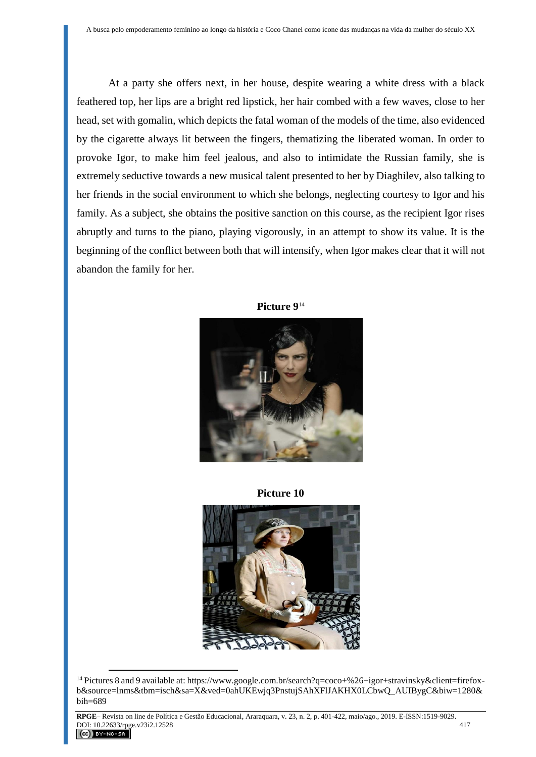At a party she offers next, in her house, despite wearing a white dress with a black feathered top, her lips are a bright red lipstick, her hair combed with a few waves, close to her head, set with gomalin, which depicts the fatal woman of the models of the time, also evidenced by the cigarette always lit between the fingers, thematizing the liberated woman. In order to provoke Igor, to make him feel jealous, and also to intimidate the Russian family, she is extremely seductive towards a new musical talent presented to her by Diaghilev, also talking to her friends in the social environment to which she belongs, neglecting courtesy to Igor and his family. As a subject, she obtains the positive sanction on this course, as the recipient Igor rises abruptly and turns to the piano, playing vigorously, in an attempt to show its value. It is the beginning of the conflict between both that will intensify, when Igor makes clear that it will not abandon the family for her.



**Picture 9** 14

**Picture 10**



<sup>14</sup> Pictures 8 and 9 available at: [https://www.google.com.br/search?q=coco+%26+igor+stravinsky&client=firefox](https://www.google.com.br/search?q=coco+%26+igor+stravinsky&client=firefox-b&source=lnms&tbm=isch&sa=X&ved=0ahUKEwjq3PnstujSAhXFlJAKHX0LCbwQ_AUIBygC&biw=1280&bih=689)[b&source=lnms&tbm=isch&sa=X&ved=0ahUKEwjq3PnstujSAhXFlJAKHX0LCbwQ\\_AUIBygC&biw=1280&](https://www.google.com.br/search?q=coco+%26+igor+stravinsky&client=firefox-b&source=lnms&tbm=isch&sa=X&ved=0ahUKEwjq3PnstujSAhXFlJAKHX0LCbwQ_AUIBygC&biw=1280&bih=689) [bih=689](https://www.google.com.br/search?q=coco+%26+igor+stravinsky&client=firefox-b&source=lnms&tbm=isch&sa=X&ved=0ahUKEwjq3PnstujSAhXFlJAKHX0LCbwQ_AUIBygC&biw=1280&bih=689)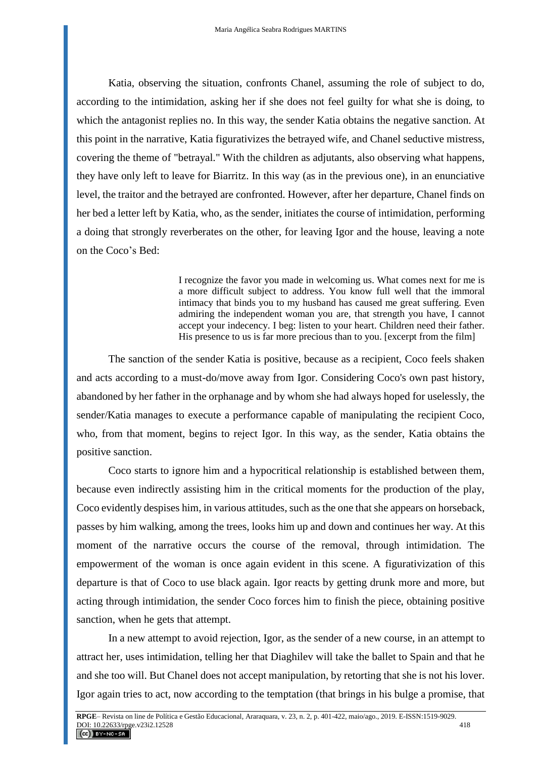Katia, observing the situation, confronts Chanel, assuming the role of subject to do, according to the intimidation, asking her if she does not feel guilty for what she is doing, to which the antagonist replies no. In this way, the sender Katia obtains the negative sanction. At this point in the narrative, Katia figurativizes the betrayed wife, and Chanel seductive mistress, covering the theme of "betrayal." With the children as adjutants, also observing what happens, they have only left to leave for Biarritz. In this way (as in the previous one), in an enunciative level, the traitor and the betrayed are confronted. However, after her departure, Chanel finds on her bed a letter left by Katia, who, as the sender, initiates the course of intimidation, performing a doing that strongly reverberates on the other, for leaving Igor and the house, leaving a note on the Coco's Bed:

> I recognize the favor you made in welcoming us. What comes next for me is a more difficult subject to address. You know full well that the immoral intimacy that binds you to my husband has caused me great suffering. Even admiring the independent woman you are, that strength you have, I cannot accept your indecency. I beg: listen to your heart. Children need their father. His presence to us is far more precious than to you. [excerpt from the film]

The sanction of the sender Katia is positive, because as a recipient, Coco feels shaken and acts according to a must-do/move away from Igor. Considering Coco's own past history, abandoned by her father in the orphanage and by whom she had always hoped for uselessly, the sender/Katia manages to execute a performance capable of manipulating the recipient Coco, who, from that moment, begins to reject Igor. In this way, as the sender, Katia obtains the positive sanction.

Coco starts to ignore him and a hypocritical relationship is established between them, because even indirectly assisting him in the critical moments for the production of the play, Coco evidently despises him, in various attitudes, such as the one that she appears on horseback, passes by him walking, among the trees, looks him up and down and continues her way. At this moment of the narrative occurs the course of the removal, through intimidation. The empowerment of the woman is once again evident in this scene. A figurativization of this departure is that of Coco to use black again. Igor reacts by getting drunk more and more, but acting through intimidation, the sender Coco forces him to finish the piece, obtaining positive sanction, when he gets that attempt.

In a new attempt to avoid rejection, Igor, as the sender of a new course, in an attempt to attract her, uses intimidation, telling her that Diaghilev will take the ballet to Spain and that he and she too will. But Chanel does not accept manipulation, by retorting that she is not his lover. Igor again tries to act, now according to the temptation (that brings in his bulge a promise, that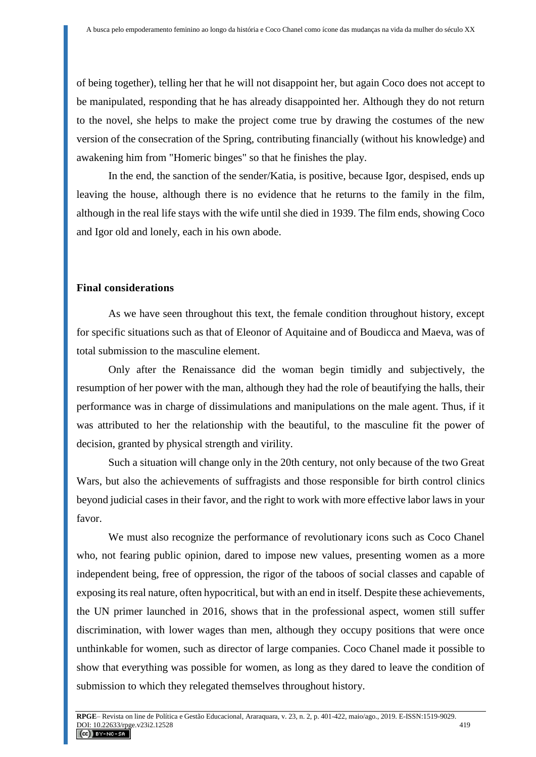of being together), telling her that he will not disappoint her, but again Coco does not accept to be manipulated, responding that he has already disappointed her. Although they do not return to the novel, she helps to make the project come true by drawing the costumes of the new version of the consecration of the Spring, contributing financially (without his knowledge) and awakening him from "Homeric binges" so that he finishes the play.

In the end, the sanction of the sender/Katia, is positive, because Igor, despised, ends up leaving the house, although there is no evidence that he returns to the family in the film, although in the real life stays with the wife until she died in 1939. The film ends, showing Coco and Igor old and lonely, each in his own abode.

#### **Final considerations**

As we have seen throughout this text, the female condition throughout history, except for specific situations such as that of Eleonor of Aquitaine and of Boudicca and Maeva, was of total submission to the masculine element.

Only after the Renaissance did the woman begin timidly and subjectively, the resumption of her power with the man, although they had the role of beautifying the halls, their performance was in charge of dissimulations and manipulations on the male agent. Thus, if it was attributed to her the relationship with the beautiful, to the masculine fit the power of decision, granted by physical strength and virility.

Such a situation will change only in the 20th century, not only because of the two Great Wars, but also the achievements of suffragists and those responsible for birth control clinics beyond judicial cases in their favor, and the right to work with more effective labor laws in your favor.

We must also recognize the performance of revolutionary icons such as Coco Chanel who, not fearing public opinion, dared to impose new values, presenting women as a more independent being, free of oppression, the rigor of the taboos of social classes and capable of exposing its real nature, often hypocritical, but with an end in itself. Despite these achievements, the UN primer launched in 2016, shows that in the professional aspect, women still suffer discrimination, with lower wages than men, although they occupy positions that were once unthinkable for women, such as director of large companies. Coco Chanel made it possible to show that everything was possible for women, as long as they dared to leave the condition of submission to which they relegated themselves throughout history.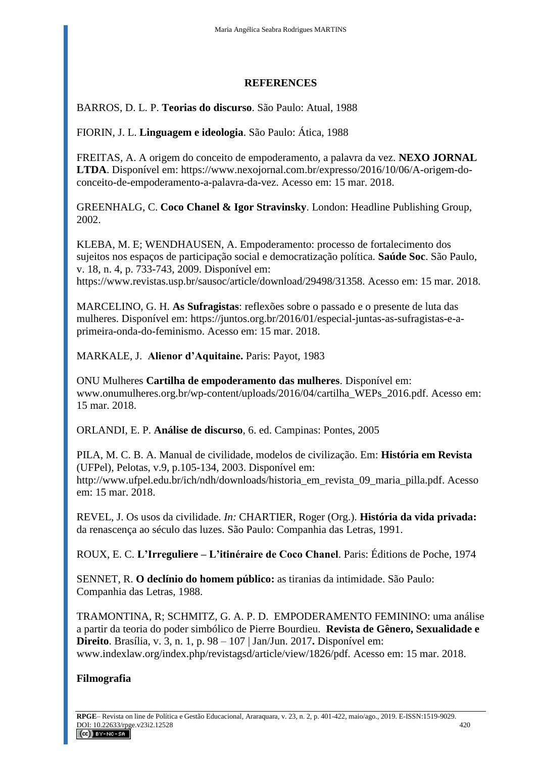## **REFERENCES**

# BARROS, D. L. P. **Teorias do discurso**. São Paulo: Atual, 1988

FIORIN, J. L. **Linguagem e ideologia**. São Paulo: Ática, 1988

FREITAS, A. A origem do conceito de empoderamento, a palavra da vez. **NEXO JORNAL LTDA**. Disponível em: https://www.nexojornal.com.br/expresso[/2016/10/06/A-origem-do](https://www.nexojornal.com.br/expresso/2016/10/06/A-origem-do-conceito-de-empoderamento-a-palavra-da-vez.%20%20Acesso%20em%2015/03/2018)[conceito-de-empoderamento-a-palavra-da-vez.](https://www.nexojornal.com.br/expresso/2016/10/06/A-origem-do-conceito-de-empoderamento-a-palavra-da-vez.%20%20Acesso%20em%2015/03/2018) Acesso em: 15 mar. 2018.

GREENHALG, C. **[Coco Chanel & Igor Stravinsky](http://livraria.folha.com.br/catalogo/1147821/coco-chanel-igor-stravinsky)**. London: [Headline Publishing Group,](https://www.google.com.br/search?client=firefox-b&sa=X&biw=1280&bih=689&q=headline+publishing+group&stick=H4sIAAAAAAAAAOPgE-LSz9U3MDOuzC5JUQKzjSzMM7JTtNQyyq30k_NzclKTSzLz8_TLizJLSlLz4svzi7KLrQpKk3IyizNSiwDVuBFBQgAAAA&ved=0ahUKEwiEtbzmtejSAhXGFZAKHdlCCY4QmxMIsQEoATAP) 2002.

KLEBA, M. E; WENDHAUSEN, A. Empoderamento: processo de fortalecimento dos sujeitos nos espaços de participação social e democratização política. **Saúde Soc**. São Paulo, v. 18, n. 4, p. 733-743, 2009. Disponível em: <https://www.revistas.usp.br/sausoc/article/download/29498/31358>*.* Acesso em: 15 mar. 2018.

MARCELINO, G. H. **As Sufragistas**: reflexões sobre o passado e o presente de luta das mulheres. Disponível em: [https://juntos.org.br/2016/01/especial-juntas-as-sufragistas-e-a](https://juntos.org.br/2016/01/especial-juntas-as-sufragistas-e-a-primeira-onda-do-feminismo)[primeira-onda-do-feminismo.](https://juntos.org.br/2016/01/especial-juntas-as-sufragistas-e-a-primeira-onda-do-feminismo) Acesso em: 15 mar. 2018.

MARKALE, J. **Alienor d'Aquitaine.** Paris: Payot, 1983

ONU Mulheres **Cartilha de empoderamento das mulheres**. Disponível em: [www.onumulheres.org.br/wp-content/uploads/2016/04/cartilha\\_WEPs\\_2016.pdf.](http://www.onumulheres.org.br/wp-content/uploads/2016/04/cartilha_WEPs_2016.pdf) Acesso em: 15 mar. 2018.

ORLANDI, E. P. **Análise de discurso**, 6. ed. Campinas: Pontes, 2005

PILA, M. C. B. A. Manual de civilidade, modelos de civilização. Em: **História em Revista** (UFPel), Pelotas, v.9, p.105-134, 2003. Disponível em: http://www.ufpel.edu.br/ich/ndh[/downloads/historia\\_em\\_revista\\_09\\_maria\\_pilla.pdf.](http://www.ufpel.edu.br/ich/ndh/downloads/historia_em_revista_09_maria_pilla.pdf) Acesso em: 15 mar. 2018.

REVEL, J. Os usos da civilidade. *In:* CHARTIER, Roger (Org.). **História da vida privada:**  da renascença ao século das luzes. São Paulo: Companhia das Letras, 1991.

ROUX, E. C. **L'Irreguliere – L'itinéraire de Coco Chanel**. Paris: Éditions de Poche, 1974

SENNET, R. **O declínio do homem público:** as tiranias da intimidade. São Paulo: Companhia das Letras, 1988.

TRAMONTINA, R; SCHMITZ, G. A. P. D. EMPODERAMENTO FEMININO: uma análise a partir da teoria do poder simbólico de Pierre Bourdieu. **Revista de Gênero, Sexualidade e Direito**. Brasília, v. 3, n. 1, p. 98 – 107 | Jan/Jun. 2017**.** Disponível em: [www.indexlaw.org/index.php/revistagsd/article/view/1826/pdf](http://www.indexlaw.org/index.php/revistagsd/article/view/1826/pdf)*.* Acesso em: 15 mar. 2018.

## **Filmografia**